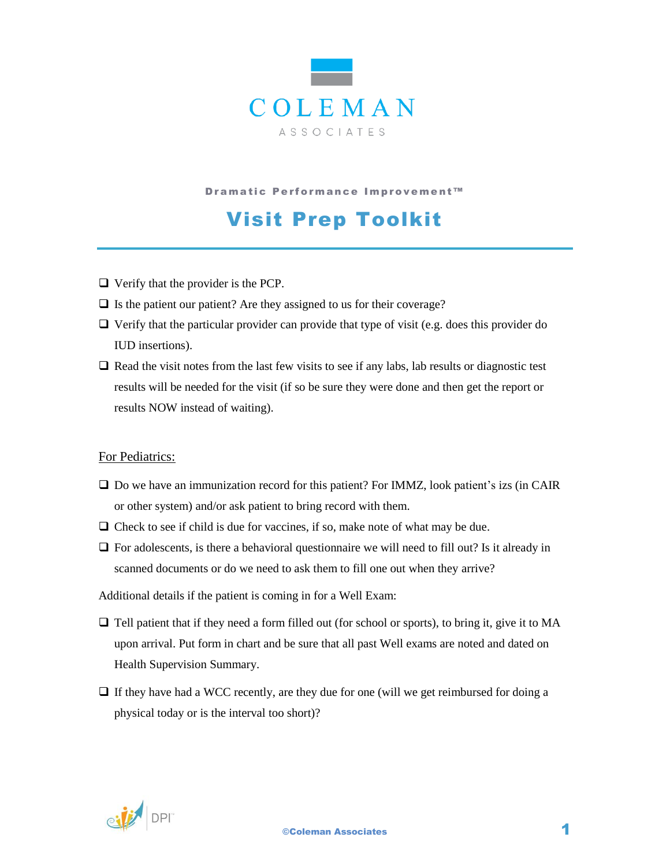

D ramatic Performance Improvement™

## Visit Prep Toolkit

- $\Box$  Verify that the provider is the PCP.
- $\Box$  Is the patient our patient? Are they assigned to us for their coverage?
- $\Box$  Verify that the particular provider can provide that type of visit (e.g. does this provider do IUD insertions).
- $\Box$  Read the visit notes from the last few visits to see if any labs, lab results or diagnostic test results will be needed for the visit (if so be sure they were done and then get the report or results NOW instead of waiting).

## For Pediatrics:

- $\Box$  Do we have an immunization record for this patient? For IMMZ, look patient's izs (in CAIR or other system) and/or ask patient to bring record with them.
- $\Box$  Check to see if child is due for vaccines, if so, make note of what may be due.
- $\Box$  For adolescents, is there a behavioral questionnaire we will need to fill out? Is it already in scanned documents or do we need to ask them to fill one out when they arrive?

Additional details if the patient is coming in for a Well Exam:

- $\Box$  Tell patient that if they need a form filled out (for school or sports), to bring it, give it to MA upon arrival. Put form in chart and be sure that all past Well exams are noted and dated on Health Supervision Summary.
- $\Box$  If they have had a WCC recently, are they due for one (will we get reimbursed for doing a physical today or is the interval too short)?